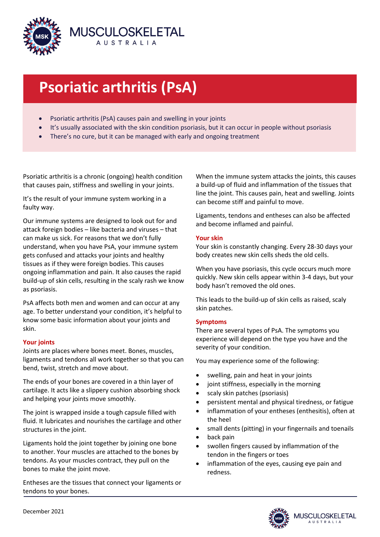

# **Psoriatic arthritis (PsA)**

- Psoriatic arthritis (PsA) causes pain and swelling in your joints
- It's usually associated with the skin condition psoriasis, but it can occur in people without psoriasis
- There's no cure, but it can be managed with early and ongoing treatment

Psoriatic arthritis is a chronic (ongoing) health condition that causes pain, stiffness and swelling in your joints.

It's the result of your immune system working in a faulty way.

Our immune systems are designed to look out for and attack foreign bodies – like bacteria and viruses – that can make us sick. For reasons that we don't fully understand, when you have PsA, your immune system gets confused and attacks your joints and healthy tissues as if they were foreign bodies. This causes ongoing inflammation and pain. It also causes the rapid build-up of skin cells, resulting in the scaly rash we know as psoriasis.

PsA affects both men and women and can occur at any age. To better understand your condition, it's helpful to know some basic information about your joints and skin.

# **Your joints**

Joints are places where bones meet. Bones, muscles, ligaments and tendons all work together so that you can bend, twist, stretch and move about.

The ends of your bones are covered in a thin layer of cartilage. It acts like a slippery cushion absorbing shock and helping your joints move smoothly.

The joint is wrapped inside a tough capsule filled with fluid. It lubricates and nourishes the cartilage and other structures in the joint.

Ligaments hold the joint together by joining one bone to another. Your muscles are attached to the bones by tendons. As your muscles contract, they pull on the bones to make the joint move.

Entheses are the tissues that connect your ligaments or tendons to your bones.

When the immune system attacks the joints, this causes a build-up of fluid and inflammation of the tissues that line the joint. This causes pain, heat and swelling. Joints can become stiff and painful to move.

Ligaments, tendons and entheses can also be affected and become inflamed and painful.

# **Your skin**

Your skin is constantly changing. Every 28-30 days your body creates new skin cells sheds the old cells.

When you have psoriasis, this cycle occurs much more quickly. New skin cells appear within 3-4 days, but your body hasn't removed the old ones.

This leads to the build-up of skin cells as raised, scaly skin patches.

# **Symptoms**

There are several types of PsA. The symptoms you experience will depend on the type you have and the severity of your condition.

You may experience some of the following:

- swelling, pain and heat in your joints
- joint stiffness, especially in the morning
- scaly skin patches (psoriasis)
- persistent mental and physical tiredness, or fatigue
- inflammation of your entheses (enthesitis), often at the heel
- small dents (pitting) in your fingernails and toenails
- back pain
- swollen fingers caused by inflammation of the tendon in the fingers or toes
- inflammation of the eyes, causing eye pain and redness.

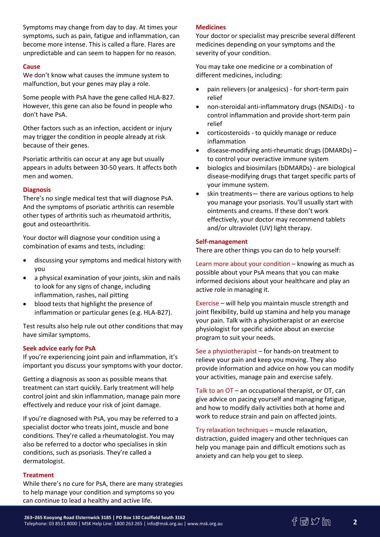Symptoms may change from day to day. At times your symptoms, such as pain, fatigue and inflammation, can become more intense. This is called a flare. Flares are unpredictable and can seem to happen for no reason.

### **Cause**

We don't know what causes the immune system to malfunction, but your genes may play a role.

Some people with PsA have the gene called HLA-B27. However, this gene can also be found in people who don't have PsA.

Other factors such as an infection, accident or injury may trigger the condition in people already at risk because of their genes.

Psoriatic arthritis can occur at any age but usually appears in adults between 30-50 years. It affects both men and women.

### **Diagnosis**

There's no single medical test that will diagnose PsA. And the symptoms of psoriatic arthritis can resemble other types of arthritis such as rheumatoid arthritis, gout and osteoarthritis.

Your doctor will diagnose your condition using a combination of exams and tests, including:

- discussing your symptoms and medical history with you
- a physical examination of your joints, skin and nails to look for any signs of change, including inflammation, rashes, nail pitting
- blood tests that highlight the presence of inflammation or particular genes (e.g. HLA-B27).

Test results also help rule out other conditions that may have similar symptoms.

# **Seek advice early for PsA**

If you're experiencing joint pain and inflammation, it's important you discuss your symptoms with your doctor.

Getting a diagnosis as soon as possible means that treatment can start quickly. Early treatment will help control joint and skin inflammation, manage pain more effectively and reduce your risk of joint damage.

If you're diagnosed with PsA, you may be referred to a specialist doctor who treats joint, muscle and bone conditions. They're called a rheumatologist. You may also be referred to a doctor who specialises in skin conditions, such as psoriasis. They're called a dermatologist.

#### **Treatment**

While there's no cure for PsA, there are many strategies to help manage your condition and symptoms so you can continue to lead a healthy and active life.

#### **Medicines**

Your doctor or specialist may prescribe several different medicines depending on your symptoms and the severity of your condition.

You may take one medicine or a combination of different medicines, including:

- pain relievers (or analgesics) for short-term pain relief
- non-steroidal anti-inflammatory drugs (NSAIDs) to control inflammation and provide short-term pain relief
- corticosteroids to quickly manage or reduce inflammation
- disease-modifying anti-rheumatic drugs (DMARDs) to control your overactive immune system
- biologics and biosimilars (bDMARDs) are biological disease-modifying drugs that target specific parts of your immune system.
- skin treatments— there are various options to help you manage your psoriasis. You'll usually start with ointments and creams. If these don't work effectively, your doctor may recommend tablets and/or ultraviolet (UV) light therapy.

#### **Self-management**

There are other things you can do to help yourself:

Learn more about your condition – knowing as much as possible about your PsA means that you can make informed decisions about your healthcare and play an active role in managing it.

Exercise – will help you maintain muscle strength and joint flexibility, build up stamina and help you manage your pain. Talk with a physiotherapist or an exercise physiologist for specific advice about an exercise program to suit your needs.

See a physiotherapist – for hands-on treatment to relieve your pain and keep you moving. They also provide information and advice on how you can modify your activities, manage pain and exercise safely.

Talk to an OT – an occupational therapist, or OT, can give advice on pacing yourself and managing fatigue, and how to modify daily activities both at home and work to reduce strain and pain on affected joints.

Try relaxation techniques – muscle relaxation, distraction, guided imagery and other techniques can help you manage pain and difficult emotions such as anxiety and can help you get to sleep.

**2**